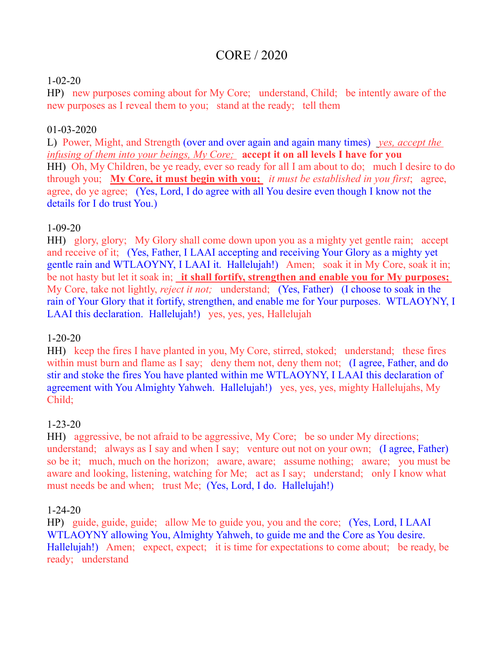# CORE / 2020

#### 1-02-20

HP) new purposes coming about for My Core; understand, Child; be intently aware of the new purposes as I reveal them to you; stand at the ready; tell them

# 01-03-2020

L) Power, Might, and Strength (over and over again and again many times) *yes, accept the infusing of them into your beings, My Core;* **accept it on all levels I have for you** HH) Oh, My Children, be ye ready, ever so ready for all I am about to do; much I desire to do through you; **My Core, it must begin with you;** *it must be established in you first*; agree, agree, do ye agree; (Yes, Lord, I do agree with all You desire even though I know not the details for I do trust You.)

#### 1-09-20

HH) glory, glory; My Glory shall come down upon you as a mighty yet gentle rain; accept and receive of it; (Yes, Father, I LAAI accepting and receiving Your Glory as a mighty yet gentle rain and WTLAOYNY, I LAAI it. Hallelujah!) Amen; soak it in My Core, soak it in; be not hasty but let it soak in; **it shall fortify, strengthen and enable you for My purposes;**  My Core, take not lightly, *reject it not;* understand; (Yes, Father) (I choose to soak in the rain of Your Glory that it fortify, strengthen, and enable me for Your purposes. WTLAOYNY, I LAAI this declaration. Hallelujah!) yes, yes, yes, Hallelujah

#### 1-20-20

HH) keep the fires I have planted in you, My Core, stirred, stoked; understand; these fires within must burn and flame as I say; deny them not, deny them not; (I agree, Father, and do stir and stoke the fires You have planted within me WTLAOYNY, I LAAI this declaration of agreement with You Almighty Yahweh. Hallelujah!) yes, yes, yes, mighty Hallelujahs, My Child;

# 1-23-20

HH) aggressive, be not afraid to be aggressive, My Core; be so under My directions; understand; always as I say and when I say; venture out not on your own; (I agree, Father) so be it; much, much on the horizon; aware, aware; assume nothing; aware; you must be aware and looking, listening, watching for Me; act as I say; understand; only I know what must needs be and when; trust Me; (Yes, Lord, I do. Hallelujah!)

#### 1-24-20

HP) guide, guide, guide; allow Me to guide you, you and the core; (Yes, Lord, I LAAI WTLAOYNY allowing You, Almighty Yahweh, to guide me and the Core as You desire. Hallelujah!) Amen; expect, expect; it is time for expectations to come about; be ready, be ready; understand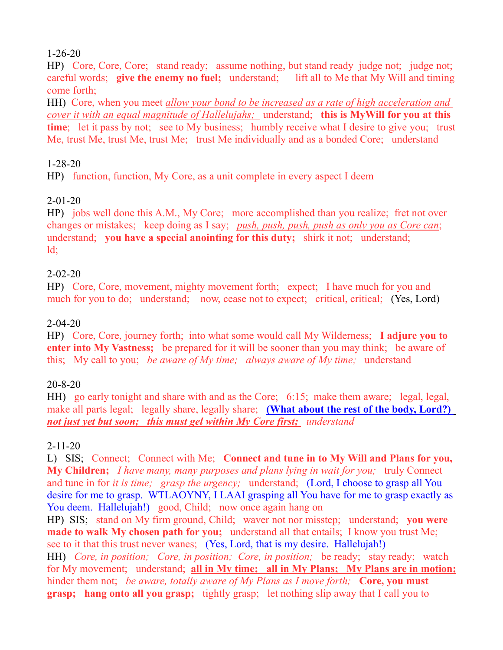#### 1-26-20

HP) Core, Core, Core; stand ready; assume nothing, but stand ready judge not; judge not; careful words; **give the enemy no fuel;** understand; lift all to Me that My Will and timing come forth;

HH) Core, when you meet *allow your bond to be increased as a rate of high acceleration and cover it with an equal magnitude of Hallelujahs;* understand; **this is MyWill for you at this time**; let it pass by not; see to My business; humbly receive what I desire to give you; trust Me, trust Me, trust Me, trust Me; trust Me individually and as a bonded Core; understand

#### 1-28-20

HP) function, function, My Core, as a unit complete in every aspect I deem

# 2-01-20

HP) jobs well done this A.M., My Core; more accomplished than you realize; fret not over changes or mistakes; keep doing as I say; *push, push, push, push as only you as Core can*; understand; **you have a special anointing for this duty;** shirk it not; understand;  $\mathrm{Id}$ :

#### 2-02-20

HP) Core, Core, movement, mighty movement forth; expect; I have much for you and much for you to do; understand; now, cease not to expect; critical, critical; (Yes, Lord)

#### 2-04-20

HP) Core, Core, journey forth; into what some would call My Wilderness; **I adjure you to enter into My Vastness;** be prepared for it will be sooner than you may think; be aware of this; My call to you; *be aware of My time; always aware of My time;* understand

# 20-8-20

HH) go early tonight and share with and as the Core; 6:15; make them aware; legal, legal, make all parts legal; legally share, legally share; **(What about the rest of the body, Lord?)** *not just yet but soon; this must gel within My Core first; understand*

# 2-11-20

L) SIS; Connect; Connect with Me; **Connect and tune in to My Will and Plans for you, My Children;** *I have many, many purposes and plans lying in wait for you;* truly Connect and tune in for *it is time; grasp the urgency;* understand; (Lord, I choose to grasp all You desire for me to grasp. WTLAOYNY, I LAAI grasping all You have for me to grasp exactly as You deem. Hallelujah!) good, Child; now once again hang on

HP) SIS; stand on My firm ground, Child; waver not nor misstep; understand; **you were made to walk My chosen path for you;** understand all that entails; I know you trust Me; see to it that this trust never wanes; (Yes, Lord, that is my desire. Hallelujah!) HH) *Core, in position; Core, in position; Core, in position;* be ready; stay ready; watch for My movement; understand; **all in My time; all in My Plans; My Plans are in motion;** hinder them not; *be aware, totally aware of My Plans as I move forth;* Core, you must **grasp; hang onto all you grasp;** tightly grasp; let nothing slip away that I call you to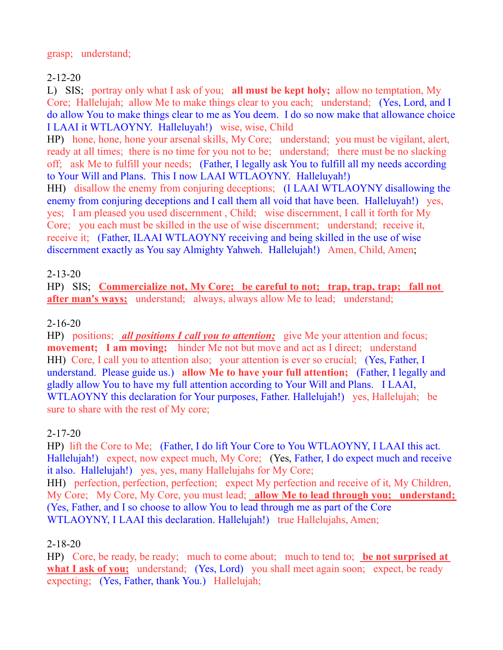# 2-12-20

L) SIS; portray only what I ask of you; **all must be kept holy;** allow no temptation, My Core; Hallelujah; allow Me to make things clear to you each; understand; (Yes, Lord, and I do allow You to make things clear to me as You deem. I do so now make that allowance choice I LAAI it WTLAOYNY. Halleluyah!) wise, wise, Child

HP) hone, hone, hone your arsenal skills, My Core; understand; you must be vigilant, alert, ready at all times; there is no time for you not to be; understand; there must be no slacking off; ask Me to fulfill your needs; (Father, I legally ask You to fulfill all my needs according to Your Will and Plans. This I now LAAI WTLAOYNY. Halleluyah!)

HH) disallow the enemy from conjuring deceptions; (I LAAI WTLAOYNY disallowing the enemy from conjuring deceptions and I call them all void that have been. Halleluyah!) ves, yes; I am pleased you used discernment , Child; wise discernment, I call it forth for My Core; you each must be skilled in the use of wise discernment; understand; receive it, receive it; (Father, ILAAI WTLAOYNY receiving and being skilled in the use of wise discernment exactly as You say Almighty Yahweh. Hallelujah!) Amen, Child, Amen;

# 2-13-20

HP) SIS; **Commercialize not, My Core; be careful to not; trap, trap, trap; fall not after man's ways;** understand; always, always allow Me to lead; understand;

# 2-16-20

HP) positions; *all positions I call you to attention*; give Me your attention and focus; **movement;** I am moving; hinder Me not but move and act as I direct; understand HH) Core, I call you to attention also; your attention is ever so crucial; (Yes, Father, I understand. Please guide us.) **allow Me to have your full attention;** (Father, I legally and gladly allow You to have my full attention according to Your Will and Plans. I LAAI, WTLAOYNY this declaration for Your purposes, Father. Hallelujah!) yes, Hallelujah; be sure to share with the rest of My core;

# 2-17-20

HP) lift the Core to Me; (Father, I do lift Your Core to You WTLAOYNY, I LAAI this act. Hallelujah!) expect, now expect much, My Core; (Yes, Father, I do expect much and receive it also. Hallelujah!) yes, yes, many Hallelujahs for My Core;

HH) perfection, perfection, perfection; expect My perfection and receive of it, My Children, My Core; My Core, My Core, you must lead; **allow Me to lead through you; understand;**  (Yes, Father, and I so choose to allow You to lead through me as part of the Core WTLAOYNY, I LAAI this declaration. Hallelujah!) true Hallelujahs, Amen;

# 2-18-20

HP) Core, be ready, be ready; much to come about; much to tend to; **be not surprised at**  what I ask of you; understand; (Yes, Lord) you shall meet again soon; expect, be ready expecting; (Yes, Father, thank You.) Hallelujah;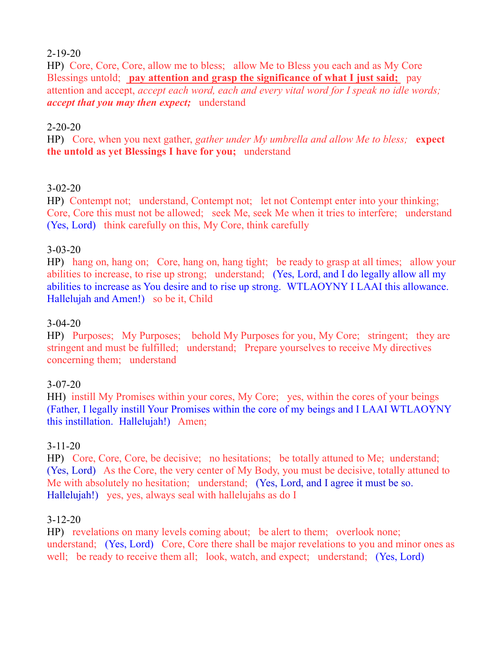#### 2-19-20

HP) Core, Core, Core, allow me to bless; allow Me to Bless you each and as My Core Blessings untold; **pay attention and grasp the significance of what I just said;** pay attention and accept, *accept each word, each and every vital word for I speak no idle words; accept that you may then expect;* understand

#### 2-20-20

HP) Core, when you next gather, *gather under My umbrella and allow Me to bless;* **expect the untold as yet Blessings I have for you;** understand

# 3-02-20

HP) Contempt not; understand, Contempt not; let not Contempt enter into your thinking; Core, Core this must not be allowed; seek Me, seek Me when it tries to interfere; understand (Yes, Lord) think carefully on this, My Core, think carefully

#### 3-03-20

HP) hang on, hang on; Core, hang on, hang tight; be ready to grasp at all times; allow your abilities to increase, to rise up strong; understand; (Yes, Lord, and I do legally allow all my abilities to increase as You desire and to rise up strong. WTLAOYNY I LAAI this allowance. Hallelujah and Amen!) so be it, Child

#### 3-04-20

HP) Purposes; My Purposes; behold My Purposes for you, My Core; stringent; they are stringent and must be fulfilled; understand; Prepare yourselves to receive My directives concerning them; understand

#### 3-07-20

HH) instill My Promises within your cores, My Core; yes, within the cores of your beings (Father, I legally instill Your Promises within the core of my beings and I LAAI WTLAOYNY this instillation. Hallelujah!) Amen;

#### 3-11-20

HP) Core, Core, Core, be decisive; no hesitations; be totally attuned to Me; understand; (Yes, Lord) As the Core, the very center of My Body, you must be decisive, totally attuned to Me with absolutely no hesitation; understand; (Yes, Lord, and I agree it must be so. Hallelujah!) yes, yes, always seal with hallelujahs as do I

#### 3-12-20

HP) revelations on many levels coming about; be alert to them; overlook none; understand; (Yes, Lord) Core, Core there shall be major revelations to you and minor ones as well; be ready to receive them all; look, watch, and expect; understand; (Yes, Lord)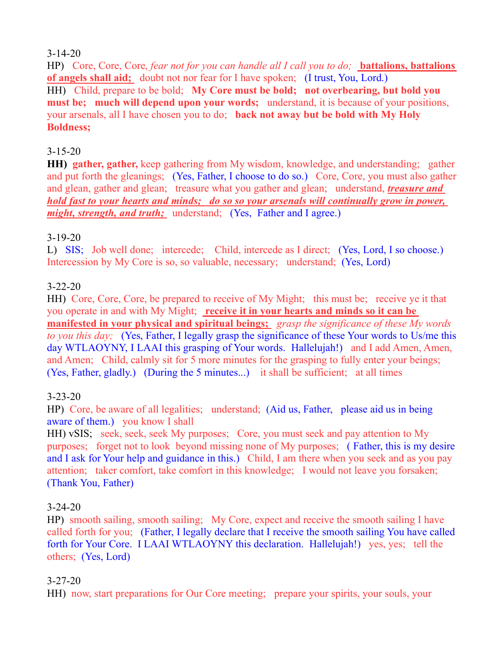#### 3-14-20

HP) Core, Core, Core, *fear not for you can handle all I call you to do;* **battalions, battalions of angels shall aid;** doubt not nor fear for I have spoken; (I trust, You, Lord.) HH) Child, prepare to be bold; **My Core must be bold; not overbearing, but bold you must be; much will depend upon your words;** understand, it is because of your positions, your arsenals, all I have chosen you to do; **back not away but be bold with My Holy Boldness;**

# 3-15-20

**HH) gather, gather,** keep gathering from My wisdom, knowledge, and understanding; gather and put forth the gleanings; (Yes, Father, I choose to do so.) Core, Core, you must also gather and glean, gather and glean; treasure what you gather and glean; understand, *treasure and hold fast to your hearts and minds; do so so your arsenals will continually grow in power, might, strength, and truth;* understand; (Yes, Father and I agree.)

#### 3-19-20

L) SIS; Job well done; intercede; Child, intercede as I direct; (Yes, Lord, I so choose.) Intercession by My Core is so, so valuable, necessary; understand; (Yes, Lord)

# 3-22-20

HH) Core, Core, Core, be prepared to receive of My Might; this must be; receive ye it that you operate in and with My Might; **receive it in your hearts and minds so it can be manifested in your physical and spiritual beings;** *grasp the significance of these My words to you this day;* (Yes, Father, I legally grasp the significance of these Your words to Us/me this day WTLAOYNY, I LAAI this grasping of Your words. Hallelujah!) and I add Amen, Amen, and Amen; Child, calmly sit for 5 more minutes for the grasping to fully enter your beings; (Yes, Father, gladly.) (During the 5 minutes...) it shall be sufficient; at all times

# 3-23-20

HP) Core, be aware of all legalities; understand; (Aid us, Father, please aid us in being aware of them.) you know I shall

HH) vSIS; seek, seek, seek My purposes; Core, you must seek and pay attention to My purposes; forget not to look beyond missing none of My purposes; ( Father, this is my desire and I ask for Your help and guidance in this.) Child, I am there when you seek and as you pay attention; taker comfort, take comfort in this knowledge; I would not leave you forsaken; (Thank You, Father)

# 3-24-20

HP) smooth sailing, smooth sailing; My Core, expect and receive the smooth sailing I have called forth for you; (Father, I legally declare that I receive the smooth sailing You have called forth for Your Core. I LAAI WTLAOYNY this declaration. Hallelujah!) yes, yes; tell the others; (Yes, Lord)

# 3-27-20

HH) now, start preparations for Our Core meeting; prepare your spirits, your souls, your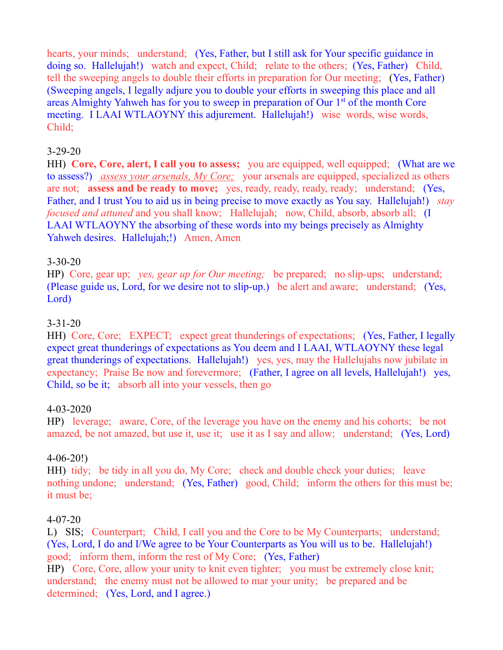hearts, your minds; understand; (Yes, Father, but I still ask for Your specific guidance in doing so. Hallelujah!) watch and expect, Child; relate to the others; (Yes, Father) Child, tell the sweeping angels to double their efforts in preparation for Our meeting; (Yes, Father) (Sweeping angels, I legally adjure you to double your efforts in sweeping this place and all areas Almighty Yahweh has for you to sweep in preparation of Our 1st of the month Core meeting. I LAAI WTLAOYNY this adjurement. Hallelujah!) wise words, wise words, Child;

#### 3-29-20

HH) **Core, Core, alert, I call you to assess;** you are equipped, well equipped; (What are we to assess?) *assess your arsenals, My Core;* your arsenals are equipped, specialized as others are not; **assess and be ready to move;** yes, ready, ready, ready, ready; understand; (Yes, Father, and I trust You to aid us in being precise to move exactly as You say. Hallelujah!) *stay focused and attuned* and you shall know; Hallelujah; now, Child, absorb, absorb all; (I LAAI WTLAOYNY the absorbing of these words into my beings precisely as Almighty Yahweh desires. Hallelujah;!) Amen, Amen

#### 3-30-20

HP) Core, gear up; *yes, gear up for Our meeting;* be prepared; no slip-ups; understand; (Please guide us, Lord, for we desire not to slip-up.) be alert and aware; understand; (Yes, Lord)

#### 3-31-20

HH) Core, Core; EXPECT; expect great thunderings of expectations; (Yes, Father, I legally expect great thunderings of expectations as You deem and I LAAI, WTLAOYNY these legal great thunderings of expectations. Hallelujah!) yes, yes, may the Hallelujahs now jubilate in expectancy; Praise Be now and forevermore; (Father, I agree on all levels, Hallelujah!) yes, Child, so be it; absorb all into your vessels, then go

#### 4-03-2020

HP) leverage; aware, Core, of the leverage you have on the enemy and his cohorts; be not amazed, be not amazed, but use it, use it; use it as I say and allow; understand; (Yes, Lord)

#### 4-06-20!)

HH) tidy; be tidy in all you do, My Core; check and double check your duties; leave nothing undone; understand; (Yes, Father) good, Child; inform the others for this must be; it must be;

#### 4-07-20

L) SIS; Counterpart; Child, I call you and the Core to be My Counterparts; understand; (Yes, Lord, I do and I/We agree to be Your Counterparts as You will us to be. Hallelujah!) good; inform them, inform the rest of My Core; (Yes, Father)

HP) Core, Core, allow your unity to knit even tighter; you must be extremely close knit; understand; the enemy must not be allowed to mar your unity; be prepared and be determined; (Yes, Lord, and I agree.)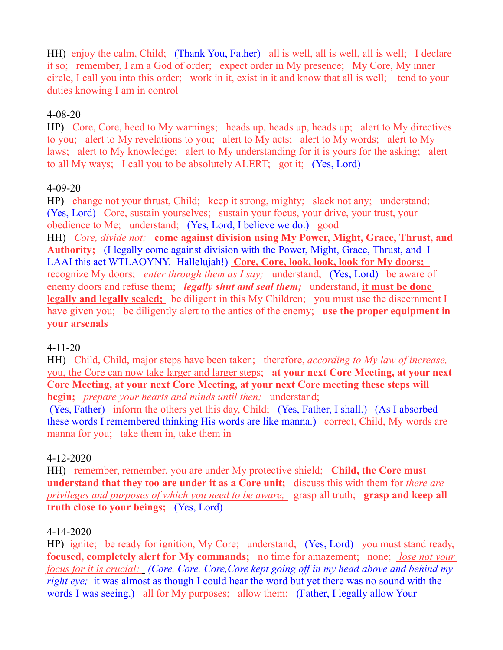HH) enjoy the calm, Child; (Thank You, Father) all is well, all is well, all is well; I declare it so; remember, I am a God of order; expect order in My presence; My Core, My inner circle, I call you into this order; work in it, exist in it and know that all is well; tend to your duties knowing I am in control

#### 4-08-20

HP) Core, Core, heed to My warnings; heads up, heads up, heads up; alert to My directives to you; alert to My revelations to you; alert to My acts; alert to My words; alert to My laws; alert to My knowledge; alert to My understanding for it is yours for the asking; alert to all My ways; I call you to be absolutely ALERT; got it; (Yes, Lord)

#### 4-09-20

HP) change not your thrust, Child; keep it strong, mighty; slack not any; understand; (Yes, Lord) Core, sustain yourselves; sustain your focus, your drive, your trust, your obedience to Me; understand; (Yes, Lord, I believe we do.) good

HH) *Core, divide not;* **come against division using My Power, Might, Grace, Thrust, and Authority;** (I legally come against division with the Power, Might, Grace, Thrust, and I LAAI this act WTLAOYNY. Hallelujah!) **Core, Core, look, look, look for My doors;**  recognize My doors; *enter through them as I say;* understand; (Yes, Lord) be aware of enemy doors and refuse them; *legally shut and seal them;* understand, **it must be done legally and legally sealed;** be diligent in this My Children; you must use the discernment I have given you; be diligently alert to the antics of the enemy; **use the proper equipment in your arsenals**

# 4-11-20

HH) Child, Child, major steps have been taken; therefore, *according to My law of increase,* you, the Core can now take larger and larger steps; **at your next Core Meeting, at your next Core Meeting, at your next Core Meeting, at your next Core meeting these steps will begin;** *prepare your hearts and minds until then;* understand;

(Yes, Father) inform the others yet this day, Child; (Yes, Father, I shall.) (As I absorbed these words I remembered thinking His words are like manna.) correct, Child, My words are manna for you; take them in, take them in

# 4-12-2020

HH) remember, remember, you are under My protective shield; **Child, the Core must understand that they too are under it as a Core unit;** discuss this with them for *there are privileges and purposes of which you need to be aware;* grasp all truth; **grasp and keep all truth close to your beings;** (Yes, Lord)

#### 4-14-2020

HP) ignite; be ready for ignition, My Core; understand; (Yes, Lord) you must stand ready, **focused, completely alert for My commands;** no time for amazement; none; *lose not your focus for it is crucial; (Core, Core, Core,Core kept going off in my head above and behind my right eye;* it was almost as though I could hear the word but yet there was no sound with the words I was seeing.) all for My purposes; allow them; (Father, I legally allow Your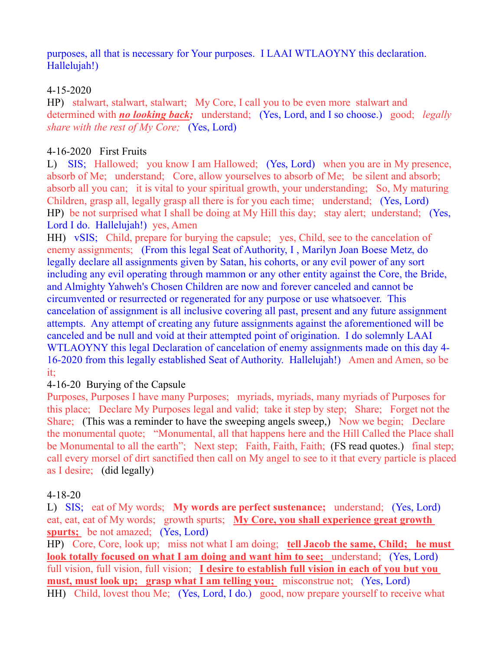purposes, all that is necessary for Your purposes. I LAAI WTLAOYNY this declaration. Hallelujah!)

#### 4-15-2020

HP) stalwart, stalwart, stalwart; My Core, I call you to be even more stalwart and determined with *no looking back;* understand; (Yes, Lord, and I so choose.) good; *legally share with the rest of My Core;* (Yes, Lord)

# 4-16-2020 First Fruits

L) SIS; Hallowed; you know I am Hallowed; (Yes, Lord) when you are in My presence, absorb of Me; understand; Core, allow yourselves to absorb of Me; be silent and absorb; absorb all you can; it is vital to your spiritual growth, your understanding; So, My maturing Children, grasp all, legally grasp all there is for you each time; understand; (Yes, Lord) HP) be not surprised what I shall be doing at My Hill this day; stay alert; understand; (Yes, Lord I do. Hallelujah!) yes, Amen

HH) vSIS; Child, prepare for burying the capsule; yes, Child, see to the cancelation of enemy assignments; (From this legal Seat of Authority, I , Marilyn Joan Boese Metz, do legally declare all assignments given by Satan, his cohorts, or any evil power of any sort including any evil operating through mammon or any other entity against the Core, the Bride, and Almighty Yahweh's Chosen Children are now and forever canceled and cannot be circumvented or resurrected or regenerated for any purpose or use whatsoever. This cancelation of assignment is all inclusive covering all past, present and any future assignment attempts. Any attempt of creating any future assignments against the aforementioned will be canceled and be null and void at their attempted point of origination. I do solemnly LAAI WTLAOYNY this legal Declaration of cancelation of enemy assignments made on this day 4- 16-2020 from this legally established Seat of Authority. Hallelujah!) Amen and Amen, so be it;

# 4-16-20 Burying of the Capsule

Purposes, Purposes I have many Purposes; myriads, myriads, many myriads of Purposes for this place; Declare My Purposes legal and valid; take it step by step; Share; Forget not the Share; (This was a reminder to have the sweeping angels sweep,) Now we begin; Declare the monumental quote; "Monumental, all that happens here and the Hill Called the Place shall be Monumental to all the earth"; Next step; Faith, Faith, Faith; (FS read quotes.) final step; call every morsel of dirt sanctified then call on My angel to see to it that every particle is placed as I desire; (did legally)

#### 4-18-20

L) SIS; eat of My words; **My words are perfect sustenance;** understand; (Yes, Lord) eat, eat, eat of My words; growth spurts; **My Core, you shall experience great growth spurts;** be not amazed; (Yes, Lord)

HP) Core, Core, look up; miss not what I am doing; **tell Jacob the same, Child; he must look totally focused on what I am doing and want him to see;** understand; (Yes, Lord) full vision, full vision, full vision; **I desire to establish full vision in each of you but you must, must look up; grasp what I am telling you;** misconstrue not; (Yes, Lord) HH) Child, lovest thou Me; (Yes, Lord, I do.) good, now prepare yourself to receive what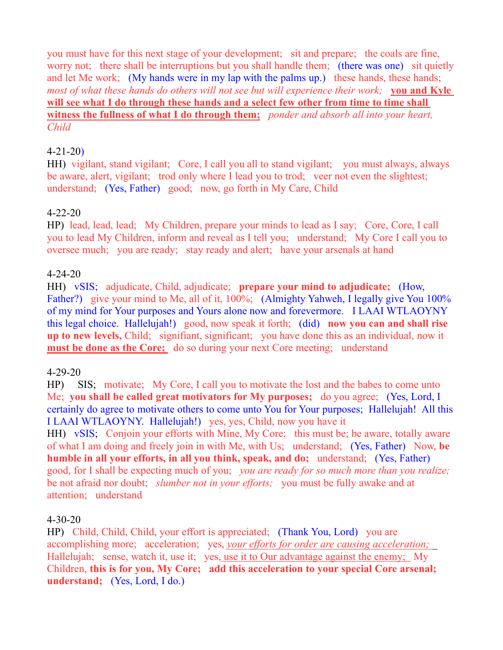you must have for this next stage of your development; sit and prepare; the coals are fine, worry not; there shall be interruptions but you shall handle them; (there was one) sit quietly and let Me work; (My hands were in my lap with the palms up.) these hands, these hands; *most of what these hands do others will not see but will experience their work;* **you and Kyle will see what I do through these hands and a select few other from time to time shall witness the fullness of what I do through them;** *ponder and absorb all into your heart, Child*

#### 4-21-20)

HH) vigilant, stand vigilant; Core, I call you all to stand vigilant; you must always, always be aware, alert, vigilant; trod only where I lead you to trod; veer not even the slightest; understand; (Yes, Father) good; now, go forth in My Care, Child

#### 4-22-20

HP) lead, lead, lead; My Children, prepare your minds to lead as I say; Core, Core, I call you to lead My Children, inform and reveal as I tell you; understand; My Core I call you to oversee much; you are ready; stay ready and alert; have your arsenals at hand

#### 4-24-20

HH) vSIS; adjudicate, Child, adjudicate; **prepare your mind to adjudicate;** (How, Father?) give your mind to Me, all of it, 100%; (Almighty Yahweh, I legally give You 100% of my mind for Your purposes and Yours alone now and forevermore. I LAAI WTLAOYNY this legal choice. Hallelujah!) good, now speak it forth; (did) **now you can and shall rise up to new levels,** Child; signifiant, significant; you have done this as an individual, now it **must be done as the Core;** do so during your next Core meeting; understand

#### 4-29-20

HP) SIS; motivate; My Core, I call you to motivate the lost and the babes to come unto Me; **you shall be called great motivators for My purposes;** do you agree; (Yes, Lord, I certainly do agree to motivate others to come unto You for Your purposes; Hallelujah! All this I LAAI WTLAOYNY. Hallelujah!) yes, yes, Child, now you have it HH) vSIS; Conjoin your efforts with Mine, My Core; this must be; be aware, totally aware of what I am doing and freely join in with Me, with Us; understand; (Yes, Father) Now, **be humble in all your efforts, in all you think, speak, and do;** understand; (Yes, Father) good, for I shall be expecting much of you; *you are ready for so much more than you realize;*  be not afraid nor doubt; *slumber not in your efforts;* you must be fully awake and at attention; understand

#### 4-30-20

HP) Child, Child, Child, your effort is appreciated; (Thank You, Lord) you are accomplishing more; acceleration; yes, *your efforts for order are causing acceleration;*  Hallelujah; sense, watch it, use it; yes<u>, use it to Our advantage against the enemy</u>; My Children, **this is for you, My Core; add this acceleration to your special Core arsenal; understand;** (Yes, Lord, I do.)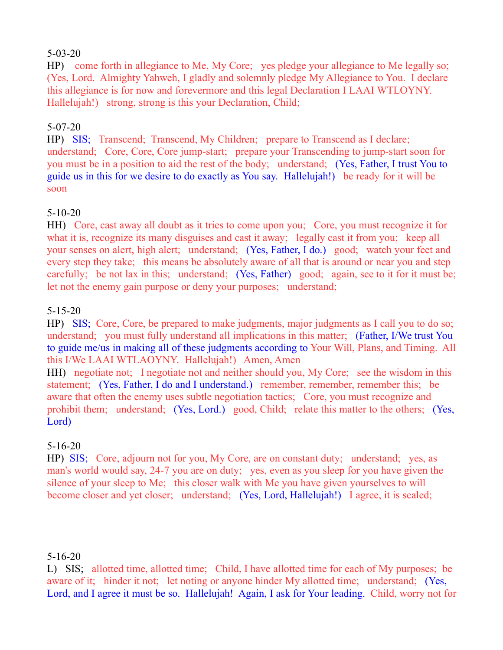#### 5-03-20

HP) come forth in allegiance to Me, My Core; yes pledge your allegiance to Me legally so; (Yes, Lord. Almighty Yahweh, I gladly and solemnly pledge My Allegiance to You. I declare this allegiance is for now and forevermore and this legal Declaration I LAAI WTLOYNY. Hallelujah!) strong, strong is this your Declaration, Child;

# 5-07-20

HP) SIS; Transcend; Transcend, My Children; prepare to Transcend as I declare; understand; Core, Core, Core jump-start; prepare your Transcending to jump-start soon for you must be in a position to aid the rest of the body; understand; (Yes, Father, I trust You to guide us in this for we desire to do exactly as You say. Hallelujah!) be ready for it will be soon

# 5-10-20

HH) Core, cast away all doubt as it tries to come upon you; Core, you must recognize it for what it is, recognize its many disguises and cast it away; legally cast it from you; keep all your senses on alert, high alert; understand; (Yes, Father, I do.) good; watch your feet and every step they take; this means be absolutely aware of all that is around or near you and step carefully; be not lax in this; understand; (Yes, Father) good; again, see to it for it must be; let not the enemy gain purpose or deny your purposes; understand;

#### 5-15-20

HP) SIS; Core, Core, be prepared to make judgments, major judgments as I call you to do so; understand; you must fully understand all implications in this matter; (Father, I/We trust You to guide me/us in making all of these judgments according to Your Will, Plans, and Timing. All this I/We LAAI WTLAOYNY. Hallelujah!) Amen, Amen

HH) negotiate not; I negotiate not and neither should you, My Core; see the wisdom in this statement; (Yes, Father, I do and I understand.) remember, remember, remember this; be aware that often the enemy uses subtle negotiation tactics; Core, you must recognize and prohibit them; understand; (Yes, Lord.) good, Child; relate this matter to the others; (Yes, Lord)

# 5-16-20

HP) SIS; Core, adjourn not for you, My Core, are on constant duty; understand; yes, as man's world would say, 24-7 you are on duty; yes, even as you sleep for you have given the silence of your sleep to Me; this closer walk with Me you have given yourselves to will become closer and yet closer; understand; (Yes, Lord, Hallelujah!) I agree, it is sealed;

# 5-16-20

L) SIS; allotted time, allotted time; Child, I have allotted time for each of My purposes; be aware of it; hinder it not; let noting or anyone hinder My allotted time; understand; (Yes, Lord, and I agree it must be so. Hallelujah! Again, I ask for Your leading. Child, worry not for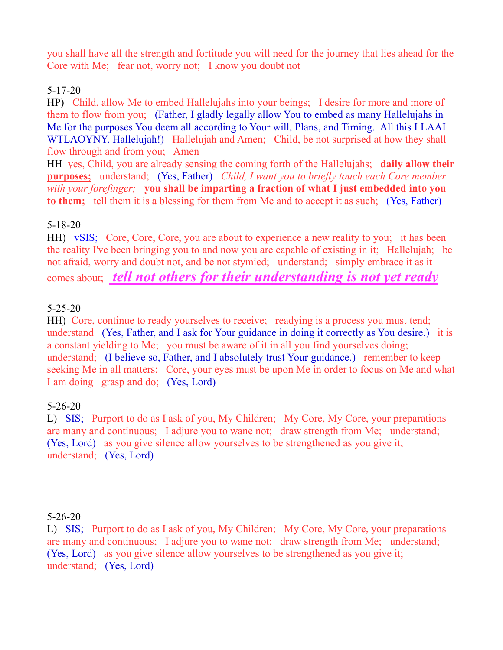you shall have all the strength and fortitude you will need for the journey that lies ahead for the Core with Me; fear not, worry not; I know you doubt not

# 5-17-20

HP) Child, allow Me to embed Hallelujahs into your beings; I desire for more and more of them to flow from you; (Father, I gladly legally allow You to embed as many Hallelujahs in Me for the purposes You deem all according to Your will, Plans, and Timing. All this I LAAI WTLAOYNY. Hallelujah!) Hallelujah and Amen; Child, be not surprised at how they shall flow through and from you; Amen

HH yes, Child, you are already sensing the coming forth of the Hallelujahs; **daily allow their purposes;** understand; (Yes, Father) *Child, I want you to briefly touch each Core member with your forefinger;* **you shall be imparting a fraction of what I just embedded into you to them;** tell them it is a blessing for them from Me and to accept it as such; (Yes, Father)

# 5-18-20

HH) vSIS; Core, Core, Core, you are about to experience a new reality to you; it has been the reality I've been bringing you to and now you are capable of existing in it; Hallelujah; be not afraid, worry and doubt not, and be not stymied; understand; simply embrace it as it comes about; *tell not others for their understanding is not yet ready*

# 5-25-20

HH) Core, continue to ready yourselves to receive; readying is a process you must tend; understand (Yes, Father, and I ask for Your guidance in doing it correctly as You desire.) it is a constant yielding to Me; you must be aware of it in all you find yourselves doing; understand; (I believe so, Father, and I absolutely trust Your guidance.) remember to keep seeking Me in all matters; Core, your eyes must be upon Me in order to focus on Me and what I am doing grasp and do; (Yes, Lord)

# 5-26-20

L) SIS; Purport to do as I ask of you, My Children; My Core, My Core, your preparations are many and continuous; I adjure you to wane not; draw strength from Me; understand; (Yes, Lord) as you give silence allow yourselves to be strengthened as you give it; understand; (Yes, Lord)

#### 5-26-20

L) SIS; Purport to do as I ask of you, My Children; My Core, My Core, your preparations are many and continuous; I adjure you to wane not; draw strength from Me; understand; (Yes, Lord) as you give silence allow yourselves to be strengthened as you give it; understand; (Yes, Lord)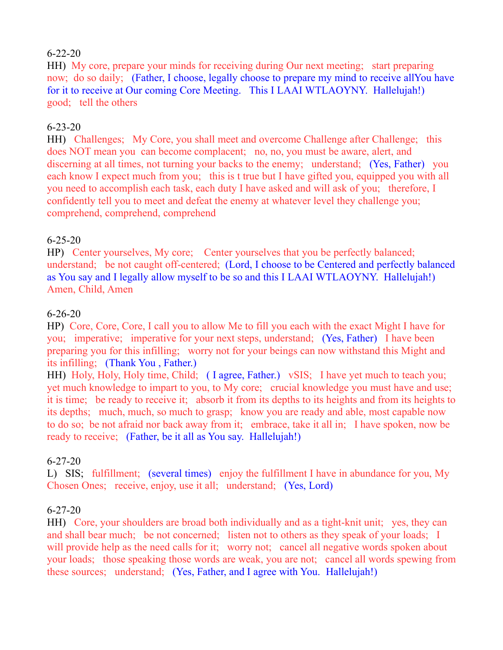# 6-22-20

HH) My core, prepare your minds for receiving during Our next meeting; start preparing now; do so daily; (Father, I choose, legally choose to prepare my mind to receive allYou have for it to receive at Our coming Core Meeting. This I LAAI WTLAOYNY. Hallelujah!) good; tell the others

# 6-23-20

HH) Challenges; My Core, you shall meet and overcome Challenge after Challenge; this does NOT mean you can become complacent; no, no, you must be aware, alert, and discerning at all times, not turning your backs to the enemy; understand; (Yes, Father) you each know I expect much from you; this is t true but I have gifted you, equipped you with all you need to accomplish each task, each duty I have asked and will ask of you; therefore, I confidently tell you to meet and defeat the enemy at whatever level they challenge you; comprehend, comprehend, comprehend

# 6-25-20

HP) Center yourselves, My core; Center yourselves that you be perfectly balanced; understand; be not caught off-centered; (Lord, I choose to be Centered and perfectly balanced as You say and I legally allow myself to be so and this I LAAI WTLAOYNY. Hallelujah!) Amen, Child, Amen

#### 6-26-20

HP) Core, Core, Core, I call you to allow Me to fill you each with the exact Might I have for you; imperative; imperative for your next steps, understand; (Yes, Father) I have been preparing you for this infilling; worry not for your beings can now withstand this Might and its infilling; (Thank You , Father.)

HH) Holy, Holy, Holy time, Child; (I agree, Father.) vSIS; I have yet much to teach you; yet much knowledge to impart to you, to My core; crucial knowledge you must have and use; it is time; be ready to receive it; absorb it from its depths to its heights and from its heights to its depths; much, much, so much to grasp; know you are ready and able, most capable now to do so; be not afraid nor back away from it; embrace, take it all in; I have spoken, now be ready to receive; (Father, be it all as You say. Hallelujah!)

#### 6-27-20

L) SIS; fulfillment; (several times) enjoy the fulfillment I have in abundance for you, My Chosen Ones; receive, enjoy, use it all; understand; (Yes, Lord)

# 6-27-20

HH) Core, your shoulders are broad both individually and as a tight-knit unit; yes, they can and shall bear much; be not concerned; listen not to others as they speak of your loads; I will provide help as the need calls for it; worry not; cancel all negative words spoken about your loads; those speaking those words are weak, you are not; cancel all words spewing from these sources; understand; (Yes, Father, and I agree with You. Hallelujah!)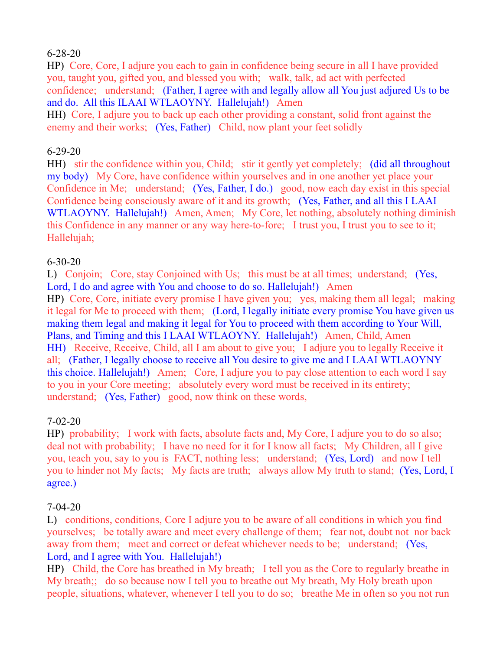# 6-28-20

HP) Core, Core, I adjure you each to gain in confidence being secure in all I have provided you, taught you, gifted you, and blessed you with; walk, talk, ad act with perfected confidence; understand; (Father, I agree with and legally allow all You just adjured Us to be and do. All this ILAAI WTLAOYNY. Hallelujah!) Amen

HH) Core, I adjure you to back up each other providing a constant, solid front against the enemy and their works; (Yes, Father) Child, now plant your feet solidly

#### 6-29-20

HH) stir the confidence within you, Child; stir it gently yet completely; (did all throughout my body) My Core, have confidence within yourselves and in one another yet place your Confidence in Me; understand; (Yes, Father, I do.) good, now each day exist in this special Confidence being consciously aware of it and its growth; (Yes, Father, and all this I LAAI WTLAOYNY. Hallelujah!) Amen, Amen; My Core, let nothing, absolutely nothing diminish this Confidence in any manner or any way here-to-fore; I trust you, I trust you to see to it; Hallelujah;

#### 6-30-20

L) Conjoin; Core, stay Conjoined with Us; this must be at all times; understand; (Yes, Lord, I do and agree with You and choose to do so. Hallelujah!) Amen HP) Core, Core, initiate every promise I have given you; yes, making them all legal; making it legal for Me to proceed with them; (Lord, I legally initiate every promise You have given us making them legal and making it legal for You to proceed with them according to Your Will, Plans, and Timing and this I LAAI WTLAOYNY. Hallelujah!) Amen, Child, Amen HH) Receive, Receive, Child, all I am about to give you; I adjure you to legally Receive it all; (Father, I legally choose to receive all You desire to give me and I LAAI WTLAOYNY this choice. Hallelujah!) Amen; Core, I adjure you to pay close attention to each word I say to you in your Core meeting; absolutely every word must be received in its entirety; understand; (Yes, Father) good, now think on these words,

# 7-02-20

HP) probability; I work with facts, absolute facts and, My Core, I adjure you to do so also; deal not with probability; I have no need for it for I know all facts; My Children, all I give you, teach you, say to you is FACT, nothing less; understand; (Yes, Lord) and now I tell you to hinder not My facts; My facts are truth; always allow My truth to stand; (Yes, Lord, I agree.)

# 7-04-20

L) conditions, conditions, Core I adjure you to be aware of all conditions in which you find yourselves; be totally aware and meet every challenge of them; fear not, doubt not nor back away from them; meet and correct or defeat whichever needs to be; understand; (Yes, Lord, and I agree with You. Hallelujah!)

HP) Child, the Core has breathed in My breath; I tell you as the Core to regularly breathe in My breath;; do so because now I tell you to breathe out My breath, My Holy breath upon people, situations, whatever, whenever I tell you to do so; breathe Me in often so you not run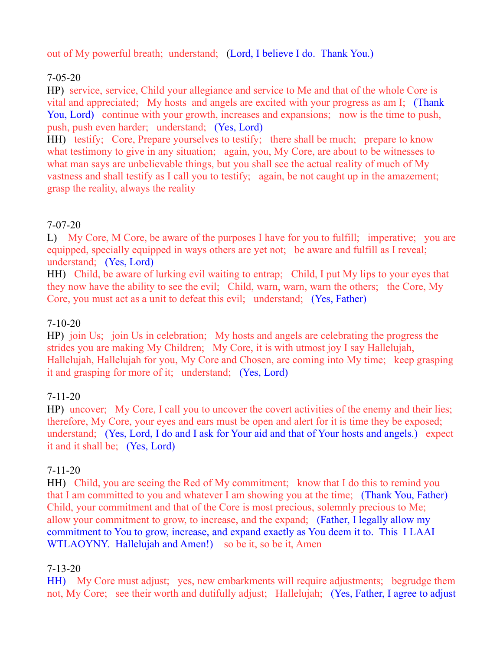out of My powerful breath; understand; (Lord, I believe I do. Thank You.)

# 7-05-20

HP) service, service, Child your allegiance and service to Me and that of the whole Core is vital and appreciated; My hosts and angels are excited with your progress as am I; (Thank You, Lord) continue with your growth, increases and expansions; now is the time to push, push, push even harder; understand; (Yes, Lord)

HH) testify; Core, Prepare yourselves to testify; there shall be much; prepare to know what testimony to give in any situation; again, you, My Core, are about to be witnesses to what man says are unbelievable things, but you shall see the actual reality of much of My vastness and shall testify as I call you to testify; again, be not caught up in the amazement; grasp the reality, always the reality

# 7-07-20

L) My Core, M Core, be aware of the purposes I have for you to fulfill; imperative; you are equipped, specially equipped in ways others are yet not; be aware and fulfill as I reveal; understand; (Yes, Lord)

HH) Child, be aware of lurking evil waiting to entrap; Child, I put My lips to your eyes that they now have the ability to see the evil; Child, warn, warn, warn the others; the Core, My Core, you must act as a unit to defeat this evil; understand; (Yes, Father)

# 7-10-20

HP) join Us; join Us in celebration; My hosts and angels are celebrating the progress the strides you are making My Children; My Core, it is with utmost joy I say Hallelujah, Hallelujah, Hallelujah for you, My Core and Chosen, are coming into My time; keep grasping it and grasping for more of it; understand; (Yes, Lord)

# 7-11-20

HP) uncover; My Core, I call you to uncover the covert activities of the enemy and their lies; therefore, My Core, your eyes and ears must be open and alert for it is time they be exposed; understand; (Yes, Lord, I do and I ask for Your aid and that of Your hosts and angels.) expect it and it shall be; (Yes, Lord)

# 7-11-20

HH) Child, you are seeing the Red of My commitment; know that I do this to remind you that I am committed to you and whatever I am showing you at the time; (Thank You, Father) Child, your commitment and that of the Core is most precious, solemnly precious to Me; allow your commitment to grow, to increase, and the expand; (Father, I legally allow my commitment to You to grow, increase, and expand exactly as You deem it to. This I LAAI WTLAOYNY. Hallelujah and Amen!) so be it, so be it, Amen

# 7-13-20

HH) My Core must adjust; yes, new embarkments will require adjustments; begrudge them not, My Core; see their worth and dutifully adjust; Hallelujah; (Yes, Father, I agree to adjust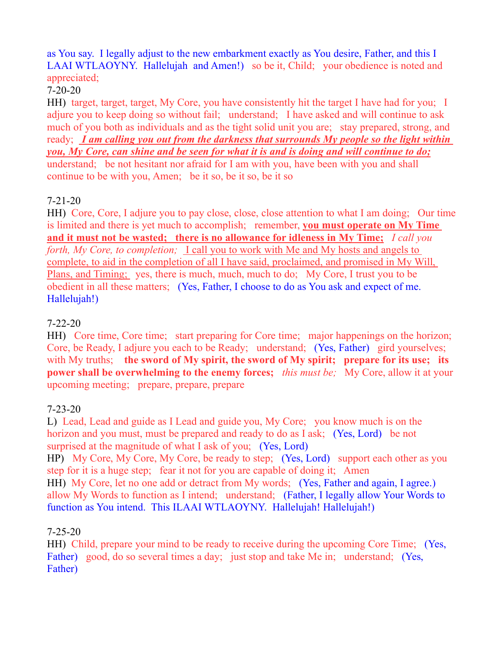# as You say. I legally adjust to the new embarkment exactly as You desire, Father, and this I LAAI WTLAOYNY. Hallelujah and Amen!) so be it, Child; your obedience is noted and appreciated:

# 7-20-20

HH) target, target, target, My Core, you have consistently hit the target I have had for you; I adjure you to keep doing so without fail; understand; I have asked and will continue to ask much of you both as individuals and as the tight solid unit you are; stay prepared, strong, and ready; *I am calling you out from the darkness that surrounds My people so the light within you, My Core, can shine and be seen for what it is and is doing and will continue to do;* understand; be not hesitant nor afraid for I am with you, have been with you and shall continue to be with you, Amen; be it so, be it so, be it so

# 7-21-20

HH) Core, Core, I adjure you to pay close, close, close attention to what I am doing; Our time is limited and there is yet much to accomplish; remember, **you must operate on My Time and it must not be wasted; there is no allowance for idleness in My Time;** *I call you forth, My Core, to completion;* I call you to work with Me and My hosts and angels to complete, to aid in the completion of all I have said, proclaimed, and promised in My Will, Plans, and Timing; yes, there is much, much, much to do; My Core, I trust you to be obedient in all these matters; (Yes, Father, I choose to do as You ask and expect of me. Hallelujah!)

# 7-22-20

HH) Core time, Core time; start preparing for Core time; major happenings on the horizon; Core, be Ready, I adjure you each to be Ready; understand; (Yes, Father) gird yourselves; with My truths; **the sword of My spirit, the sword of My spirit; prepare for its use; its power shall be overwhelming to the enemy forces;** *this must be;* My Core, allow it at your upcoming meeting; prepare, prepare, prepare

# 7-23-20

L) Lead, Lead and guide as I Lead and guide you, My Core; you know much is on the horizon and you must, must be prepared and ready to do as I ask; (Yes, Lord) be not surprised at the magnitude of what I ask of you; (Yes, Lord)

HP) My Core, My Core, My Core, be ready to step; (Yes, Lord) support each other as you step for it is a huge step; fear it not for you are capable of doing it; Amen

HH) My Core, let no one add or detract from My words; (Yes, Father and again, I agree.) allow My Words to function as I intend; understand; (Father, I legally allow Your Words to function as You intend. This ILAAI WTLAOYNY. Hallelujah! Hallelujah!)

# 7-25-20

HH) Child, prepare your mind to be ready to receive during the upcoming Core Time; (Yes, Father) good, do so several times a day; just stop and take Me in; understand; (Yes, Father)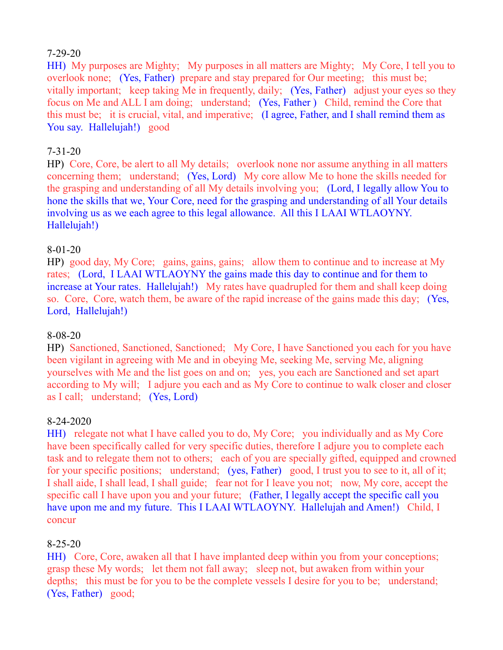#### 7-29-20

HH) My purposes are Mighty; My purposes in all matters are Mighty; My Core, I tell you to overlook none; (Yes, Father) prepare and stay prepared for Our meeting; this must be; vitally important; keep taking Me in frequently, daily; (Yes, Father) adjust your eyes so they focus on Me and ALL I am doing; understand; (Yes, Father ) Child, remind the Core that this must be; it is crucial, vital, and imperative; (I agree, Father, and I shall remind them as You say. Hallelujah!) good

#### 7-31-20

HP) Core, Core, be alert to all My details; overlook none nor assume anything in all matters concerning them; understand; (Yes, Lord) My core allow Me to hone the skills needed for the grasping and understanding of all My details involving you; (Lord, I legally allow You to hone the skills that we, Your Core, need for the grasping and understanding of all Your details involving us as we each agree to this legal allowance. All this I LAAI WTLAOYNY. Hallelujah!)

#### 8-01-20

HP) good day, My Core; gains, gains, gains; allow them to continue and to increase at My rates; (Lord, I LAAI WTLAOYNY the gains made this day to continue and for them to increase at Your rates. Hallelujah!) My rates have quadrupled for them and shall keep doing so. Core, Core, watch them, be aware of the rapid increase of the gains made this day; (Yes, Lord, Hallelujah!)

#### 8-08-20

HP) Sanctioned, Sanctioned, Sanctioned; My Core, I have Sanctioned you each for you have been vigilant in agreeing with Me and in obeying Me, seeking Me, serving Me, aligning yourselves with Me and the list goes on and on; yes, you each are Sanctioned and set apart according to My will; I adjure you each and as My Core to continue to walk closer and closer as I call; understand; (Yes, Lord)

# 8-24-2020

HH) relegate not what I have called you to do, My Core; you individually and as My Core have been specifically called for very specific duties, therefore I adjure you to complete each task and to relegate them not to others; each of you are specially gifted, equipped and crowned for your specific positions; understand; (yes, Father) good, I trust you to see to it, all of it; I shall aide, I shall lead, I shall guide; fear not for I leave you not; now, My core, accept the specific call I have upon you and your future; (Father, I legally accept the specific call you have upon me and my future. This I LAAI WTLAOYNY. Hallelujah and Amen!) Child, I concur

#### 8-25-20

HH) Core, Core, awaken all that I have implanted deep within you from your conceptions; grasp these My words; let them not fall away; sleep not, but awaken from within your depths; this must be for you to be the complete vessels I desire for you to be; understand; (Yes, Father) good;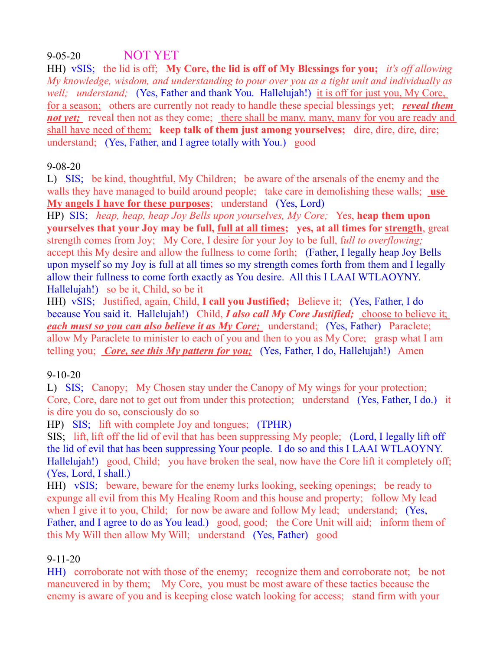# 9-05-20 NOT YET

HH) vSIS; the lid is off; **My Core, the lid is off of My Blessings for you;** *it's off allowing My knowledge, wisdom, and understanding to pour over you as a tight unit and individually as well; understand;* (Yes, Father and thank You. Hallelujah!) it is off for just you, My Core, for a season; others are currently not ready to handle these special blessings yet; *reveal them not yet;* reveal then not as they come; there shall be many, many, many for you are ready and shall have need of them; **keep talk of them just among yourselves;** dire, dire, dire, dire; understand; (Yes, Father, and I agree totally with You.) good

# 9-08-20

L) SIS; be kind, thoughtful, My Children; be aware of the arsenals of the enemy and the walls they have managed to build around people; take care in demolishing these walls; **use My angels I have for these purposes**; understand (Yes, Lord)

HP) SIS; *heap, heap, heap Joy Bells upon yourselves, My Core;* Yes, **heap them upon yourselves that your Joy may be full, full at all times; yes, at all times for strength**, great strength comes from Joy; My Core, I desire for your Joy to be full, f*ull to overflowing;* accept this My desire and allow the fullness to come forth; (Father, I legally heap Joy Bells upon myself so my Joy is full at all times so my strength comes forth from them and I legally allow their fullness to come forth exactly as You desire. All this I LAAI WTLAOYNY. Hallelujah!) so be it, Child, so be it

HH) vSIS; Justified, again, Child, **I call you Justified;** Believe it; (Yes, Father, I do because You said it. Hallelujah!) Child, *I also call My Core Justified;* choose to believe it; *each must so you can also believe it as My Core;* understand; (Yes, Father) Paraclete; allow My Paraclete to minister to each of you and then to you as My Core; grasp what I am telling you; *Core, see this My pattern for you;* (Yes, Father, I do, Hallelujah!) Amen

# 9-10-20

L) SIS; Canopy; My Chosen stay under the Canopy of My wings for your protection; Core, Core, dare not to get out from under this protection; understand (Yes, Father, I do.) it is dire you do so, consciously do so

HP) SIS; lift with complete Joy and tongues; (TPHR)

SIS; lift, lift off the lid of evil that has been suppressing My people; (Lord, I legally lift off the lid of evil that has been suppressing Your people. I do so and this I LAAI WTLAOYNY. Hallelujah!) good, Child; you have broken the seal, now have the Core lift it completely off; (Yes, Lord, I shall.)

HH) vSIS; beware, beware for the enemy lurks looking, seeking openings; be ready to expunge all evil from this My Healing Room and this house and property; follow My lead when I give it to you, Child; for now be aware and follow My lead; understand; (Yes, Father, and I agree to do as You lead.) good, good; the Core Unit will aid; inform them of this My Will then allow My Will; understand (Yes, Father) good

# 9-11-20

HH) corroborate not with those of the enemy; recognize them and corroborate not; be not maneuvered in by them; My Core, you must be most aware of these tactics because the enemy is aware of you and is keeping close watch looking for access; stand firm with your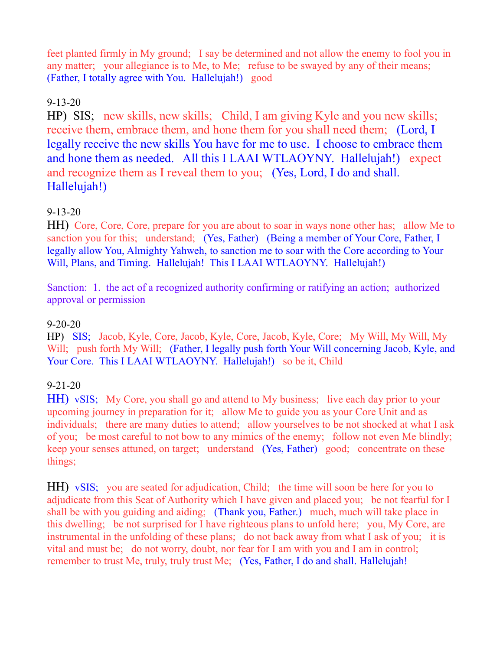feet planted firmly in My ground; I say be determined and not allow the enemy to fool you in any matter; your allegiance is to Me, to Me; refuse to be swayed by any of their means; (Father, I totally agree with You. Hallelujah!) good

# 9-13-20

HP) SIS; new skills, new skills; Child, I am giving Kyle and you new skills; receive them, embrace them, and hone them for you shall need them; (Lord, I legally receive the new skills You have for me to use. I choose to embrace them and hone them as needed. All this I LAAI WTLAOYNY. Hallelujah!) expect and recognize them as I reveal them to you; (Yes, Lord, I do and shall. Hallelujah!)

# 9-13-20

HH) Core, Core, Core, prepare for you are about to soar in ways none other has; allow Me to sanction you for this; understand; (Yes, Father) (Being a member of Your Core, Father, I legally allow You, Almighty Yahweh, to sanction me to soar with the Core according to Your Will, Plans, and Timing. Hallelujah! This I LAAI WTLAOYNY. Hallelujah!)

Sanction: 1. the act of a recognized authority confirming or ratifying an action; authorized approval or permission

#### 9-20-20

HP) SIS; Jacob, Kyle, Core, Jacob, Kyle, Core, Jacob, Kyle, Core; My Will, My Will, My Will; push forth My Will; (Father, I legally push forth Your Will concerning Jacob, Kyle, and Your Core. This I LAAI WTLAOYNY. Hallelujah!) so be it, Child

# 9-21-20

HH) vSIS; My Core, you shall go and attend to My business; live each day prior to your upcoming journey in preparation for it; allow Me to guide you as your Core Unit and as individuals; there are many duties to attend; allow yourselves to be not shocked at what I ask of you; be most careful to not bow to any mimics of the enemy; follow not even Me blindly; keep your senses attuned, on target; understand (Yes, Father) good; concentrate on these things;

HH) vSIS; you are seated for adjudication, Child; the time will soon be here for you to adjudicate from this Seat of Authority which I have given and placed you; be not fearful for I shall be with you guiding and aiding; (Thank you, Father.) much, much will take place in this dwelling; be not surprised for I have righteous plans to unfold here; you, My Core, are instrumental in the unfolding of these plans; do not back away from what I ask of you; it is vital and must be; do not worry, doubt, nor fear for I am with you and I am in control; remember to trust Me, truly, truly trust Me; (Yes, Father, I do and shall. Hallelujah!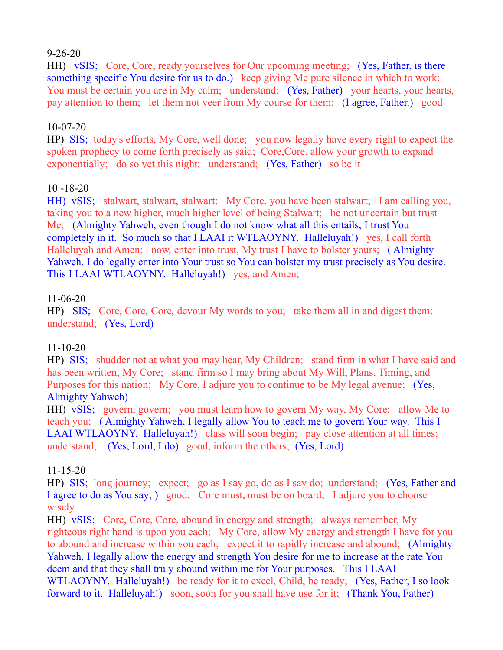#### 9-26-20

HH) vSIS; Core, Core, ready yourselves for Our upcoming meeting; (Yes, Father, is there something specific You desire for us to do.) keep giving Me pure silence in which to work; You must be certain you are in My calm; understand; (Yes, Father) your hearts, your hearts, pay attention to them; let them not veer from My course for them; (I agree, Father.) good

# 10-07-20

HP) SIS; today's efforts, My Core, well done; you now legally have every right to expect the spoken prophecy to come forth precisely as said; Core,Core, allow your growth to expand exponentially; do so yet this night; understand; (Yes, Father) so be it

#### 10 -18-20

HH) vSIS; stalwart, stalwart, stalwart; My Core, you have been stalwart; I am calling you, taking you to a new higher, much higher level of being Stalwart; be not uncertain but trust Me; (Almighty Yahweh, even though I do not know what all this entails, I trust You completely in it. So much so that I LAAI it WTLAOYNY. Halleluyah!) yes, I call forth Halleluyah and Amen; now, enter into trust, My trust I have to bolster yours; ( Almighty Yahweh, I do legally enter into Your trust so You can bolster my trust precisely as You desire. This I LAAI WTLAOYNY. Halleluyah!) yes, and Amen;

#### 11-06-20

HP) SIS; Core, Core, Core, devour My words to you; take them all in and digest them; understand; (Yes, Lord)

# 11-10-20

HP) SIS; shudder not at what you may hear, My Children; stand firm in what I have said and has been written, My Core; stand firm so I may bring about My Will, Plans, Timing, and Purposes for this nation; My Core, I adjure you to continue to be My legal avenue; (Yes, Almighty Yahweh)

HH) vSIS; govern, govern; you must learn how to govern My way, My Core; allow Me to teach you; ( Almighty Yahweh, I legally allow You to teach me to govern Your way. This I LAAI WTLAOYNY. Halleluyah!) class will soon begin; pay close attention at all times; understand; (Yes, Lord, I do) good, inform the others; (Yes, Lord)

#### 11-15-20

HP) SIS; long journey; expect; go as I say go, do as I say do; understand; (Yes, Father and I agree to do as You say; ) good; Core must, must be on board; I adjure you to choose wisely

HH) vSIS; Core, Core, Core, abound in energy and strength; always remember, My righteous right hand is upon you each; My Core, allow My energy and strength I have for you to abound and increase within you each; expect it to rapidly increase and abound; (Almighty Yahweh, I legally allow the energy and strength You desire for me to increase at the rate You deem and that they shall truly abound within me for Your purposes. This I LAAI WTLAOYNY. Halleluyah!) be ready for it to excel, Child, be ready; (Yes, Father, I so look forward to it. Halleluyah!) soon, soon for you shall have use for it; (Thank You, Father)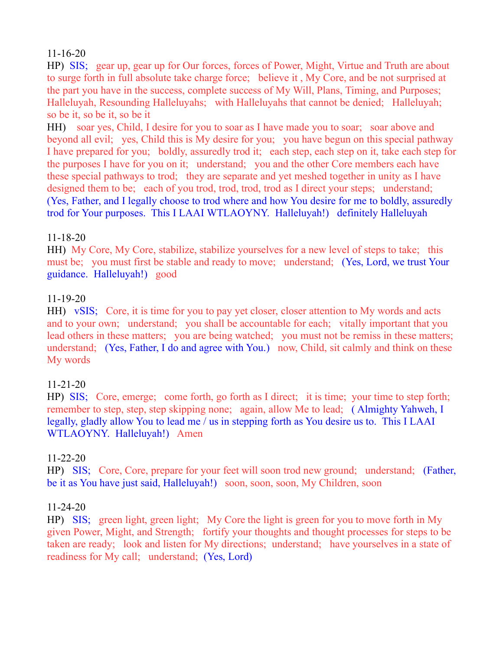# 11-16-20

HP) SIS; gear up, gear up for Our forces, forces of Power, Might, Virtue and Truth are about to surge forth in full absolute take charge force; believe it , My Core, and be not surprised at the part you have in the success, complete success of My Will, Plans, Timing, and Purposes; Halleluyah, Resounding Halleluyahs; with Halleluyahs that cannot be denied; Halleluyah; so be it, so be it, so be it

HH) soar yes, Child, I desire for you to soar as I have made you to soar; soar above and beyond all evil; yes, Child this is My desire for you; you have begun on this special pathway I have prepared for you; boldly, assuredly trod it; each step, each step on it, take each step for the purposes I have for you on it; understand; you and the other Core members each have these special pathways to trod; they are separate and yet meshed together in unity as I have designed them to be; each of you trod, trod, trod, trod as I direct your steps; understand; (Yes, Father, and I legally choose to trod where and how You desire for me to boldly, assuredly trod for Your purposes. This I LAAI WTLAOYNY. Halleluyah!) definitely Halleluyah

# 11-18-20

HH) My Core, My Core, stabilize, stabilize yourselves for a new level of steps to take; this must be; you must first be stable and ready to move; understand; (Yes, Lord, we trust Your guidance. Halleluyah!) good

#### 11-19-20

HH) vSIS; Core, it is time for you to pay yet closer, closer attention to My words and acts and to your own; understand; you shall be accountable for each; vitally important that you lead others in these matters; you are being watched; you must not be remiss in these matters; understand; (Yes, Father, I do and agree with You.) now, Child, sit calmly and think on these My words

# 11-21-20

HP) SIS; Core, emerge; come forth, go forth as I direct; it is time; your time to step forth; remember to step, step, step skipping none; again, allow Me to lead; ( Almighty Yahweh, I legally, gladly allow You to lead me / us in stepping forth as You desire us to. This I LAAI WTLAOYNY. Halleluyah!) Amen

# 11-22-20

HP) SIS; Core, Core, prepare for your feet will soon trod new ground; understand; (Father, be it as You have just said, Halleluyah!) soon, soon, soon, My Children, soon

#### 11-24-20

HP) SIS; green light, green light; My Core the light is green for you to move forth in My given Power, Might, and Strength; fortify your thoughts and thought processes for steps to be taken are ready; look and listen for My directions; understand; have yourselves in a state of readiness for My call; understand; (Yes, Lord)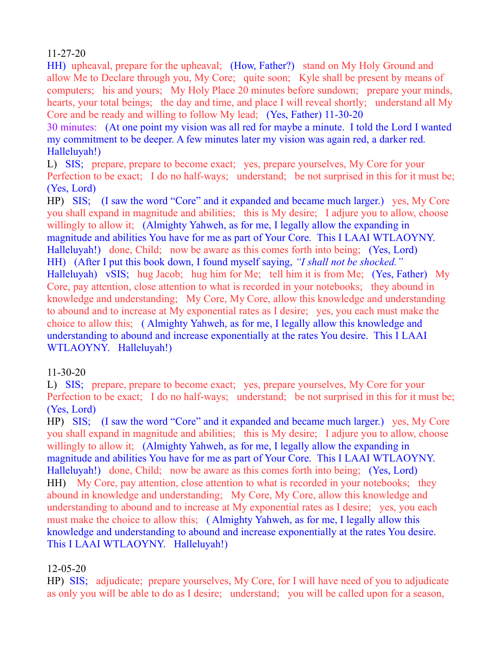# 11-27-20

HH) upheaval, prepare for the upheaval; (How, Father?) stand on My Holy Ground and allow Me to Declare through you, My Core; quite soon; Kyle shall be present by means of computers; his and yours; My Holy Place 20 minutes before sundown; prepare your minds, hearts, your total beings; the day and time, and place I will reveal shortly; understand all My Core and be ready and willing to follow My lead; (Yes, Father) 11-30-20

30 minutes: (At one point my vision was all red for maybe a minute. I told the Lord I wanted my commitment to be deeper. A few minutes later my vision was again red, a darker red. Halleluyah!)

L) SIS; prepare, prepare to become exact; yes, prepare yourselves, My Core for your Perfection to be exact; I do no half-ways; understand; be not surprised in this for it must be; (Yes, Lord)

HP) SIS; (I saw the word "Core" and it expanded and became much larger.) yes, My Core you shall expand in magnitude and abilities; this is My desire; I adjure you to allow, choose willingly to allow it; (Almighty Yahweh, as for me, I legally allow the expanding in magnitude and abilities You have for me as part of Your Core. This I LAAI WTLAOYNY. Halleluyah!) done, Child; now be aware as this comes forth into being; (Yes, Lord) HH) (After I put this book down, I found myself saying, *"I shall not be shocked."*  Halleluyah) vSIS; hug Jacob; hug him for Me; tell him it is from Me; (Yes, Father) My Core, pay attention, close attention to what is recorded in your notebooks; they abound in knowledge and understanding; My Core, My Core, allow this knowledge and understanding to abound and to increase at My exponential rates as I desire; yes, you each must make the choice to allow this; ( Almighty Yahweh, as for me, I legally allow this knowledge and understanding to abound and increase exponentially at the rates You desire. This I LAAI WTLAOYNY. Halleluyah!)

# 11-30-20

L) SIS; prepare, prepare to become exact; yes, prepare yourselves, My Core for your Perfection to be exact; I do no half-ways; understand; be not surprised in this for it must be; (Yes, Lord)

HP) SIS; (I saw the word "Core" and it expanded and became much larger.) yes, My Core you shall expand in magnitude and abilities; this is My desire; I adjure you to allow, choose willingly to allow it; (Almighty Yahweh, as for me, I legally allow the expanding in magnitude and abilities You have for me as part of Your Core. This I LAAI WTLAOYNY. Halleluyah!) done, Child; now be aware as this comes forth into being; (Yes, Lord) HH) My Core, pay attention, close attention to what is recorded in your notebooks; they abound in knowledge and understanding; My Core, My Core, allow this knowledge and understanding to abound and to increase at My exponential rates as I desire; yes, you each must make the choice to allow this; ( Almighty Yahweh, as for me, I legally allow this knowledge and understanding to abound and increase exponentially at the rates You desire. This I LAAI WTLAOYNY. Halleluyah!)

# 12-05-20

HP) SIS; adjudicate; prepare yourselves, My Core, for I will have need of you to adjudicate as only you will be able to do as I desire; understand; you will be called upon for a season,